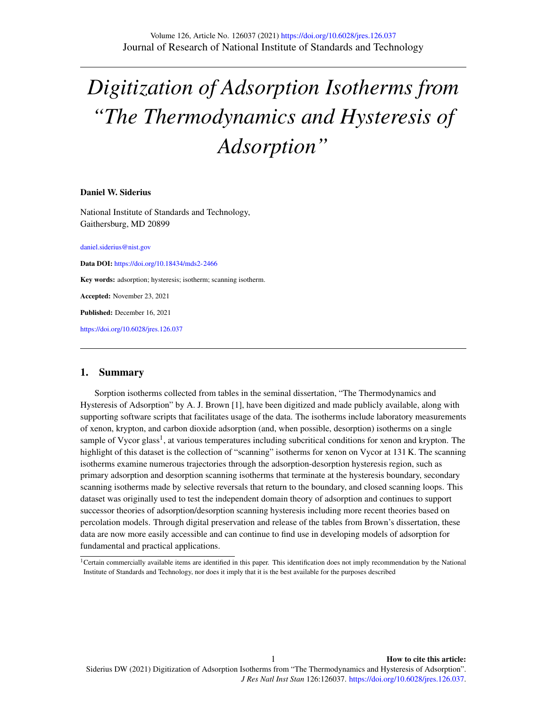# *Digitization of Adsorption Isotherms from "The Thermodynamics and Hysteresis of Adsorption"*

#### Daniel W. Siderius

National Institute of Standards and Technology, Gaithersburg, MD 20899

<daniel.siderius@nist.gov>

Data DOI: <https://doi.org/10.18434/mds2-2466>

Key words: adsorption; hysteresis; isotherm; scanning isotherm.

Accepted: November 23, 2021

Published: December 16, 2021

<https://doi.org/10.6028/jres.126.037>

# 1. Summary

Sorption isotherms collected from tables in the seminal dissertation, "The Thermodynamics and Hysteresis of Adsorption" by A. J. Brown [\[1\]](#page-5-0), have been digitized and made publicly available, along with supporting software scripts that facilitates usage of the data. The isotherms include laboratory measurements of xenon, krypton, and carbon dioxide adsorption (and, when possible, desorption) isotherms on a single sample of Vycor glass<sup>[1](#page-0-0)</sup>, at various temperatures including subcritical conditions for xenon and krypton. The highlight of this dataset is the collection of "scanning" isotherms for xenon on Vycor at 131 K. The scanning isotherms examine numerous trajectories through the adsorption-desorption hysteresis region, such as primary adsorption and desorption scanning isotherms that terminate at the hysteresis boundary, secondary scanning isotherms made by selective reversals that return to the boundary, and closed scanning loops. This dataset was originally used to test the independent domain theory of adsorption and continues to support successor theories of adsorption/desorption scanning hysteresis including more recent theories based on percolation models. Through digital preservation and release of the tables from Brown's dissertation, these data are now more easily accessible and can continue to find use in developing models of adsorption for fundamental and practical applications.

<span id="page-0-0"></span><sup>&</sup>lt;sup>1</sup>Certain commercially available items are identified in this paper. This identification does not imply recommendation by the National Institute of Standards and Technology, nor does it imply that it is the best available for the purposes described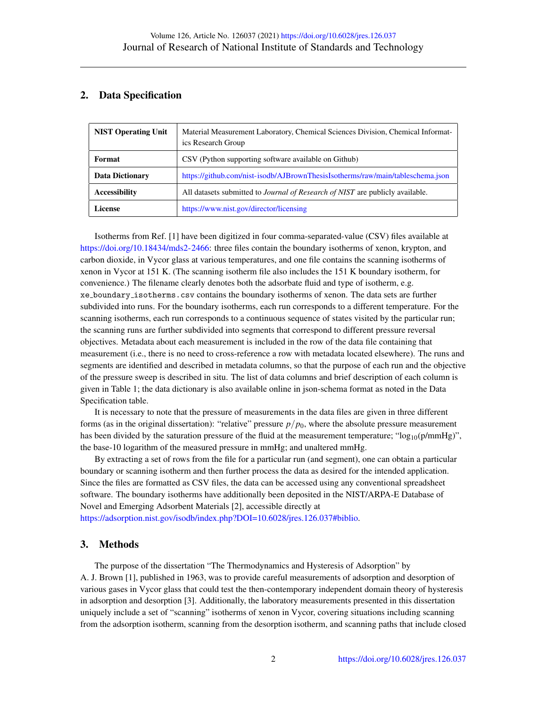# 2. Data Specification

| <b>NIST Operating Unit</b> | Material Measurement Laboratory, Chemical Sciences Division, Chemical Informat-<br>ics Research Group |
|----------------------------|-------------------------------------------------------------------------------------------------------|
| Format                     | CSV (Python supporting software available on Github)                                                  |
| <b>Data Dictionary</b>     | https://github.com/nist-isodb/AJBrownThesisIsotherms/raw/main/tableschema.json                        |
| <b>Accessibility</b>       | All datasets submitted to <i>Journal of Research of NIST</i> are publicly available.                  |
| License                    | https://www.nist.gov/director/licensing                                                               |

Isotherms from Ref. [\[1\]](#page-5-0) have been digitized in four comma-separated-value (CSV) files available at [https://doi.org/10.18434/mds2-2466:](https://doi.org/10.18434/mds2-2466) three files contain the boundary isotherms of xenon, krypton, and carbon dioxide, in Vycor glass at various temperatures, and one file contains the scanning isotherms of xenon in Vycor at 151 K. (The scanning isotherm file also includes the 151 K boundary isotherm, for convenience.) The filename clearly denotes both the adsorbate fluid and type of isotherm, e.g. xe boundary isotherms.csv contains the boundary isotherms of xenon. The data sets are further subdivided into runs. For the boundary isotherms, each run corresponds to a different temperature. For the scanning isotherms, each run corresponds to a continuous sequence of states visited by the particular run; the scanning runs are further subdivided into segments that correspond to different pressure reversal objectives. Metadata about each measurement is included in the row of the data file containing that measurement (i.e., there is no need to cross-reference a row with metadata located elsewhere). The runs and segments are identified and described in metadata columns, so that the purpose of each run and the objective of the pressure sweep is described in situ. The list of data columns and brief description of each column is given in Table [1;](#page-2-0) the data dictionary is also available online in json-schema format as noted in the Data Specification table.

It is necessary to note that the pressure of measurements in the data files are given in three different forms (as in the original dissertation): "relative" pressure *p*/*p*0, where the absolute pressure measurement has been divided by the saturation pressure of the fluid at the measurement temperature; " $log_{10}(p/mmHg)$ ", the base-10 logarithm of the measured pressure in mmHg; and unaltered mmHg.

By extracting a set of rows from the file for a particular run (and segment), one can obtain a particular boundary or scanning isotherm and then further process the data as desired for the intended application. Since the files are formatted as CSV files, the data can be accessed using any conventional spreadsheet software. The boundary isotherms have additionally been deposited in the NIST/ARPA-E Database of Novel and Emerging Adsorbent Materials [\[2\]](#page-5-1), accessible directly at

[https://adsorption.nist.gov/isodb/index.php?DOI=10.6028/jres.126.037#biblio.](https://adsorption.nist.gov/isodb/index.php?DOI=10.6028/jres.126.037#biblio)

# 3. Methods

The purpose of the dissertation "The Thermodynamics and Hysteresis of Adsorption" by A. J. Brown [\[1\]](#page-5-0), published in 1963, was to provide careful measurements of adsorption and desorption of various gases in Vycor glass that could test the then-contemporary independent domain theory of hysteresis in adsorption and desorption [\[3\]](#page-5-2). Additionally, the laboratory measurements presented in this dissertation uniquely include a set of "scanning" isotherms of xenon in Vycor, covering situations including scanning from the adsorption isotherm, scanning from the desorption isotherm, and scanning paths that include closed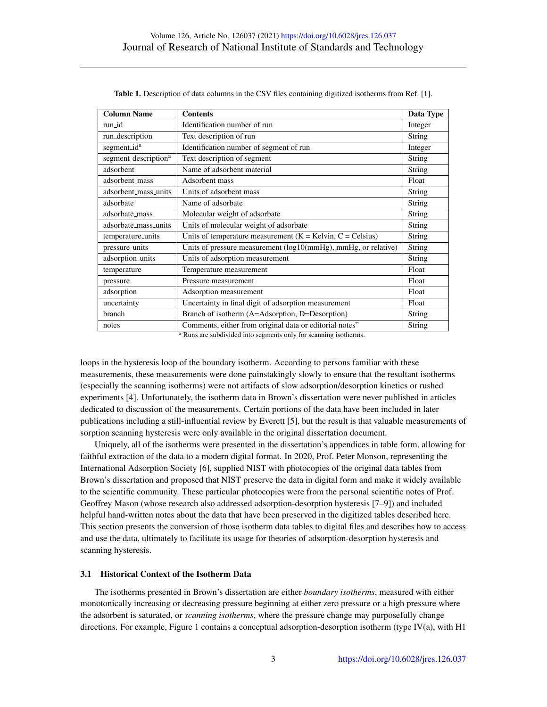<span id="page-2-0"></span>

| <b>Column Name</b>               | <b>Contents</b>                                                | Data Type     |
|----------------------------------|----------------------------------------------------------------|---------------|
| run id                           | Identification number of run                                   | Integer       |
| run_description                  | Text description of run                                        | String        |
| segment_id <sup>a</sup>          | Identification number of segment of run                        | Integer       |
| segment_description <sup>a</sup> | Text description of segment                                    | String        |
| adsorbent                        | Name of adsorbent material                                     | String        |
| adsorbent_mass                   | Adsorbent mass                                                 | Float         |
| adsorbent_mass_units             | Units of adsorbent mass                                        | String        |
| adsorbate                        | Name of adsorbate                                              | String        |
| adsorbate_mass                   | Molecular weight of adsorbate                                  | String        |
| adsorbate_mass_units             | Units of molecular weight of adsorbate                         | String        |
| temperature_units                | Units of temperature measurement $(K = Kelvin, C = Celsius)$   | String        |
| pressure_units                   | Units of pressure measurement (log10(mmHg), mmHg, or relative) | String        |
| adsorption_units                 | Units of adsorption measurement                                | String        |
| temperature                      | Temperature measurement                                        | Float         |
| pressure                         | Pressure measurement                                           | Float         |
| adsorption                       | Adsorption measurement                                         | Float         |
| uncertainty                      | Uncertainty in final digit of adsorption measurement           | Float         |
| branch                           | Branch of isotherm (A=Adsorption, D=Desorption)                | <b>String</b> |
| notes                            | Comments, either from original data or editorial notes"        | String        |

Table 1. Description of data columns in the CSV files containing digitized isotherms from Ref. [\[1\]](#page-5-0).

<sup>a</sup> Runs are subdivided into segments only for scanning isotherms.

loops in the hysteresis loop of the boundary isotherm. According to persons familiar with these measurements, these measurements were done painstakingly slowly to ensure that the resultant isotherms (especially the scanning isotherms) were not artifacts of slow adsorption/desorption kinetics or rushed experiments [\[4\]](#page-5-3). Unfortunately, the isotherm data in Brown's dissertation were never published in articles dedicated to discussion of the measurements. Certain portions of the data have been included in later publications including a still-influential review by Everett [\[5\]](#page-5-4), but the result is that valuable measurements of sorption scanning hysteresis were only available in the original dissertation document.

Uniquely, all of the isotherms were presented in the dissertation's appendices in table form, allowing for faithful extraction of the data to a modern digital format. In 2020, Prof. Peter Monson, representing the International Adsorption Society [\[6\]](#page-5-5), supplied NIST with photocopies of the original data tables from Brown's dissertation and proposed that NIST preserve the data in digital form and make it widely available to the scientific community. These particular photocopies were from the personal scientific notes of Prof. Geoffrey Mason (whose research also addressed adsorption-desorption hysteresis [\[7–](#page-5-6)[9\]](#page-6-0)) and included helpful hand-written notes about the data that have been preserved in the digitized tables described here. This section presents the conversion of those isotherm data tables to digital files and describes how to access and use the data, ultimately to facilitate its usage for theories of adsorption-desorption hysteresis and scanning hysteresis.

## 3.1 Historical Context of the Isotherm Data

The isotherms presented in Brown's dissertation are either *boundary isotherms*, measured with either monotonically increasing or decreasing pressure beginning at either zero pressure or a high pressure where the adsorbent is saturated, or *scanning isotherms*, where the pressure change may purposefully change directions. For example, Figure [1](#page-3-0) contains a conceptual adsorption-desorption isotherm (type IV(a), with H1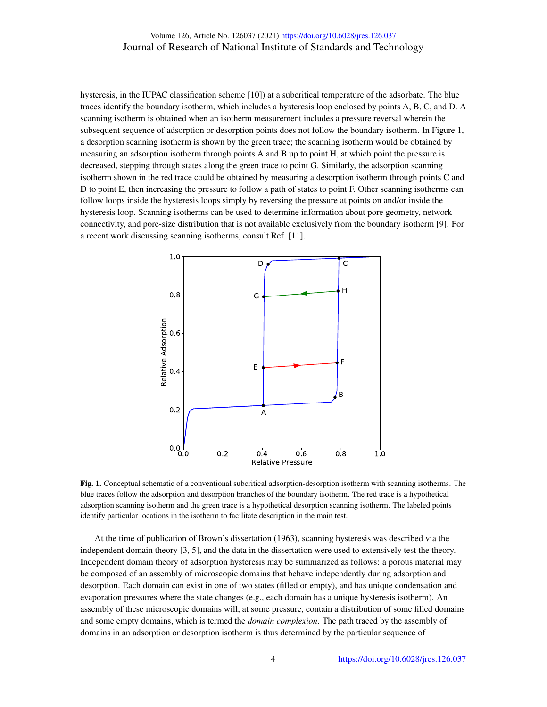hysteresis, in the IUPAC classification scheme [\[10\]](#page-6-1)) at a subcritical temperature of the adsorbate. The blue traces identify the boundary isotherm, which includes a hysteresis loop enclosed by points A, B, C, and D. A scanning isotherm is obtained when an isotherm measurement includes a pressure reversal wherein the subsequent sequence of adsorption or desorption points does not follow the boundary isotherm. In Figure [1,](#page-3-0) a desorption scanning isotherm is shown by the green trace; the scanning isotherm would be obtained by measuring an adsorption isotherm through points A and B up to point H, at which point the pressure is decreased, stepping through states along the green trace to point G. Similarly, the adsorption scanning isotherm shown in the red trace could be obtained by measuring a desorption isotherm through points C and D to point E, then increasing the pressure to follow a path of states to point F. Other scanning isotherms can follow loops inside the hysteresis loops simply by reversing the pressure at points on and/or inside the hysteresis loop. Scanning isotherms can be used to determine information about pore geometry, network connectivity, and pore-size distribution that is not available exclusively from the boundary isotherm [\[9\]](#page-6-0). For a recent work discussing scanning isotherms, consult Ref. [\[11\]](#page-6-2).

<span id="page-3-0"></span>

Fig. 1. Conceptual schematic of a conventional subcritical adsorption-desorption isotherm with scanning isotherms. The blue traces follow the adsorption and desorption branches of the boundary isotherm. The red trace is a hypothetical adsorption scanning isotherm and the green trace is a hypothetical desorption scanning isotherm. The labeled points identify particular locations in the isotherm to facilitate description in the main test.

At the time of publication of Brown's dissertation (1963), scanning hysteresis was described via the independent domain theory [\[3,](#page-5-2) [5\]](#page-5-4), and the data in the dissertation were used to extensively test the theory. Independent domain theory of adsorption hysteresis may be summarized as follows: a porous material may be composed of an assembly of microscopic domains that behave independently during adsorption and desorption. Each domain can exist in one of two states (filled or empty), and has unique condensation and evaporation pressures where the state changes (e.g., each domain has a unique hysteresis isotherm). An assembly of these microscopic domains will, at some pressure, contain a distribution of some filled domains and some empty domains, which is termed the *domain complexion*. The path traced by the assembly of domains in an adsorption or desorption isotherm is thus determined by the particular sequence of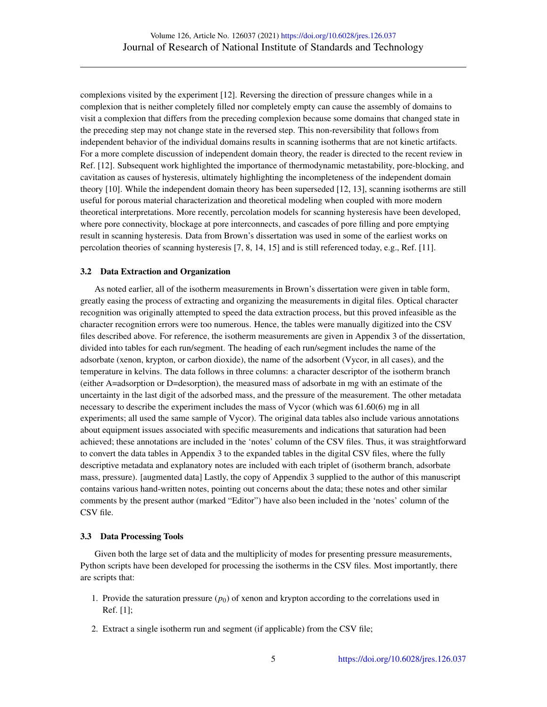complexions visited by the experiment [\[12\]](#page-6-3). Reversing the direction of pressure changes while in a complexion that is neither completely filled nor completely empty can cause the assembly of domains to visit a complexion that differs from the preceding complexion because some domains that changed state in the preceding step may not change state in the reversed step. This non-reversibility that follows from independent behavior of the individual domains results in scanning isotherms that are not kinetic artifacts. For a more complete discussion of independent domain theory, the reader is directed to the recent review in Ref. [\[12\]](#page-6-3). Subsequent work highlighted the importance of thermodynamic metastability, pore-blocking, and cavitation as causes of hysteresis, ultimately highlighting the incompleteness of the independent domain theory [\[10\]](#page-6-1). While the independent domain theory has been superseded [\[12,](#page-6-3) [13\]](#page-6-4), scanning isotherms are still useful for porous material characterization and theoretical modeling when coupled with more modern theoretical interpretations. More recently, percolation models for scanning hysteresis have been developed, where pore connectivity, blockage at pore interconnects, and cascades of pore filling and pore emptying result in scanning hysteresis. Data from Brown's dissertation was used in some of the earliest works on percolation theories of scanning hysteresis [\[7,](#page-5-6) [8,](#page-6-5) [14,](#page-6-6) [15\]](#page-6-7) and is still referenced today, e.g., Ref. [\[11\]](#page-6-2).

#### 3.2 Data Extraction and Organization

As noted earlier, all of the isotherm measurements in Brown's dissertation were given in table form, greatly easing the process of extracting and organizing the measurements in digital files. Optical character recognition was originally attempted to speed the data extraction process, but this proved infeasible as the character recognition errors were too numerous. Hence, the tables were manually digitized into the CSV files described above. For reference, the isotherm measurements are given in Appendix 3 of the dissertation, divided into tables for each run/segment. The heading of each run/segment includes the name of the adsorbate (xenon, krypton, or carbon dioxide), the name of the adsorbent (Vycor, in all cases), and the temperature in kelvins. The data follows in three columns: a character descriptor of the isotherm branch (either A=adsorption or D=desorption), the measured mass of adsorbate in mg with an estimate of the uncertainty in the last digit of the adsorbed mass, and the pressure of the measurement. The other metadata necessary to describe the experiment includes the mass of Vycor (which was 61.60(6) mg in all experiments; all used the same sample of Vycor). The original data tables also include various annotations about equipment issues associated with specific measurements and indications that saturation had been achieved; these annotations are included in the 'notes' column of the CSV files. Thus, it was straightforward to convert the data tables in Appendix 3 to the expanded tables in the digital CSV files, where the fully descriptive metadata and explanatory notes are included with each triplet of (isotherm branch, adsorbate mass, pressure). [augmented data] Lastly, the copy of Appendix 3 supplied to the author of this manuscript contains various hand-written notes, pointing out concerns about the data; these notes and other similar comments by the present author (marked "Editor") have also been included in the 'notes' column of the CSV file.

#### 3.3 Data Processing Tools

Given both the large set of data and the multiplicity of modes for presenting pressure measurements, Python scripts have been developed for processing the isotherms in the CSV files. Most importantly, there are scripts that:

- 1. Provide the saturation pressure  $(p_0)$  of xenon and krypton according to the correlations used in Ref. [\[1\]](#page-5-0);
- 2. Extract a single isotherm run and segment (if applicable) from the CSV file;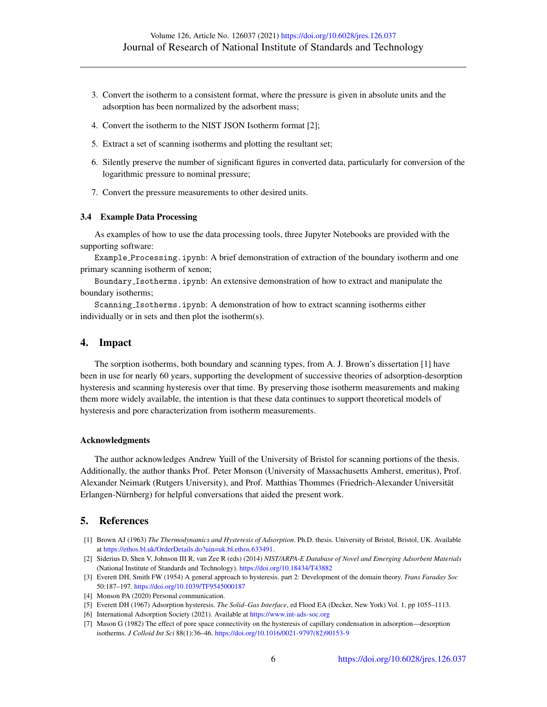- 3. Convert the isotherm to a consistent format, where the pressure is given in absolute units and the adsorption has been normalized by the adsorbent mass;
- 4. Convert the isotherm to the NIST JSON Isotherm format [\[2\]](#page-5-1);
- 5. Extract a set of scanning isotherms and plotting the resultant set;
- 6. Silently preserve the number of significant figures in converted data, particularly for conversion of the logarithmic pressure to nominal pressure;
- 7. Convert the pressure measurements to other desired units.

#### 3.4 Example Data Processing

As examples of how to use the data processing tools, three Jupyter Notebooks are provided with the supporting software:

Example Processing.ipynb: A brief demonstration of extraction of the boundary isotherm and one primary scanning isotherm of xenon;

Boundary Isotherms.ipynb: An extensive demonstration of how to extract and manipulate the boundary isotherms;

Scanning Isotherms.ipynb: A demonstration of how to extract scanning isotherms either individually or in sets and then plot the isotherm(s).

## 4. Impact

The sorption isotherms, both boundary and scanning types, from A. J. Brown's dissertation [\[1\]](#page-5-0) have been in use for nearly 60 years, supporting the development of successive theories of adsorption-desorption hysteresis and scanning hysteresis over that time. By preserving those isotherm measurements and making them more widely available, the intention is that these data continues to support theoretical models of hysteresis and pore characterization from isotherm measurements.

#### Acknowledgments

The author acknowledges Andrew Yuill of the University of Bristol for scanning portions of the thesis. Additionally, the author thanks Prof. Peter Monson (University of Massachusetts Amherst, emeritus), Prof. Alexander Neimark (Rutgers University), and Prof. Matthias Thommes (Friedrich-Alexander Universitat¨ Erlangen-Nürnberg) for helpful conversations that aided the present work.

## 5. References

- <span id="page-5-0"></span>[1] Brown AJ (1963) *The Thermodynamics and Hysteresis of Adsorption*. Ph.D. thesis. University of Bristol, Bristol, UK. Available at [https://ethos.bl.uk/OrderDetails.do?uin=uk.bl.ethos.633491.](https://ethos.bl.uk/OrderDetails.do?uin=uk.bl.ethos.633491)
- <span id="page-5-1"></span>[2] Siderius D, Shen V, Johnson III R, van Zee R (eds) (2014) *NIST/ARPA-E Database of Novel and Emerging Adsorbent Materials* (National Institute of Standards and Technology). <https://doi.org/10.18434/T43882>
- <span id="page-5-2"></span>[3] Everett DH, Smith FW (1954) A general approach to hysteresis. part 2: Development of the domain theory. *Trans Faraday Soc* 50:187–197. <https://doi.org/10.1039/TF9545000187>
- <span id="page-5-3"></span>[4] Monson PA (2020) Personal communication.
- <span id="page-5-4"></span>[5] Everett DH (1967) Adsorption hysteresis. *The Solid–Gas Interface*, ed Flood EA (Decker, New York) Vol. 1, pp 1055–1113.
- <span id="page-5-5"></span>[6] International Adsorption Society (2021). Available at <https://www.int-ads-soc.org>
- <span id="page-5-6"></span>[7] Mason G (1982) The effect of pore space connectivity on the hysteresis of capillary condensation in adsorption—desorption isotherms. *J Colloid Int Sci* 88(1):36–46. [https://doi.org/10.1016/0021-9797\(82\)90153-9](https://doi.org/10.1016/0021-9797(82)90153-9)